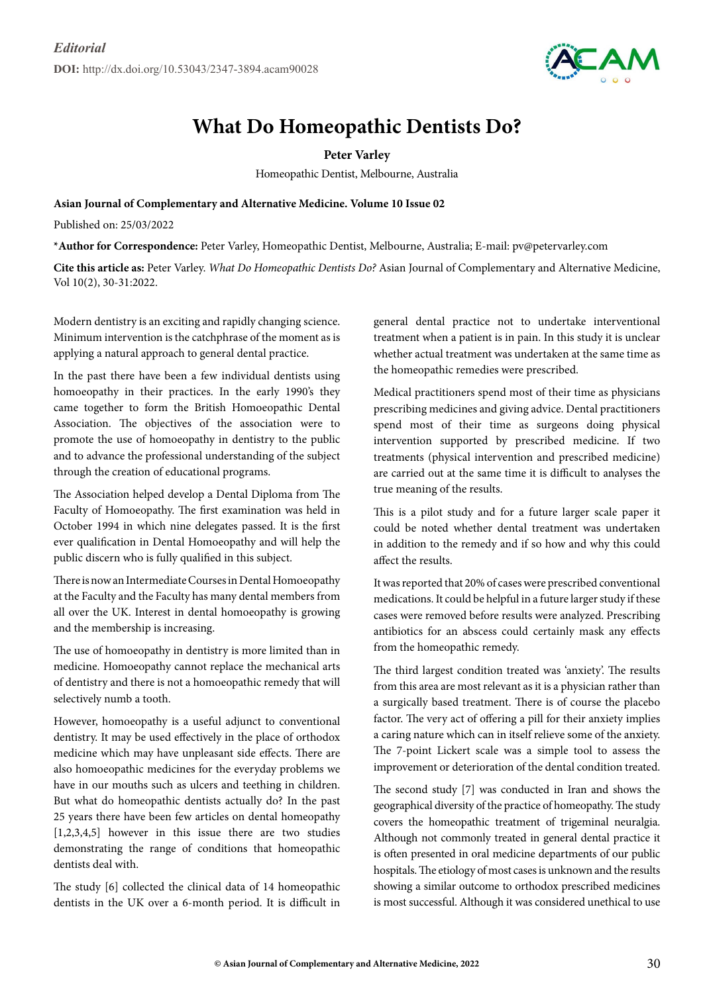

## **What Do Homeopathic Dentists Do?**

**Peter Varley**

Homeopathic Dentist, Melbourne, Australia

**Asian Journal of Complementary and Alternative Medicine. Volume 10 Issue 02**

Published on: 25/03/2022

**\*Author for Correspondence:** Peter Varley, Homeopathic Dentist, Melbourne, Australia; E-mail: pv@petervarley.com

**Cite this article as:** Peter Varley. *What Do Homeopathic Dentists Do?* Asian Journal of Complementary and Alternative Medicine, Vol 10(2), 30-31:2022.

Modern dentistry is an exciting and rapidly changing science. Minimum intervention is the catchphrase of the moment as is applying a natural approach to general dental practice.

In the past there have been a few individual dentists using homoeopathy in their practices. In the early 1990's they came together to form the British Homoeopathic Dental Association. The objectives of the association were to promote the use of homoeopathy in dentistry to the public and to advance the professional understanding of the subject through the creation of educational programs.

The Association helped develop a Dental Diploma from The Faculty of Homoeopathy. The first examination was held in October 1994 in which nine delegates passed. It is the first ever qualification in Dental Homoeopathy and will help the public discern who is fully qualified in this subject.

There is now an Intermediate Courses in Dental Homoeopathy at the Faculty and the Faculty has many dental members from all over the UK. Interest in dental homoeopathy is growing and the membership is increasing.

The use of homoeopathy in dentistry is more limited than in medicine. Homoeopathy cannot replace the mechanical arts of dentistry and there is not a homoeopathic remedy that will selectively numb a tooth.

However, homoeopathy is a useful adjunct to conventional dentistry. It may be used effectively in the place of orthodox medicine which may have unpleasant side effects. There are also homoeopathic medicines for the everyday problems we have in our mouths such as ulcers and teething in children. But what do homeopathic dentists actually do? In the past 25 years there have been few articles on dental homeopathy [1,2,3,4,5] however in this issue there are two studies demonstrating the range of conditions that homeopathic dentists deal with.

The study [6] collected the clinical data of 14 homeopathic dentists in the UK over a 6-month period. It is difficult in general dental practice not to undertake interventional treatment when a patient is in pain. In this study it is unclear whether actual treatment was undertaken at the same time as the homeopathic remedies were prescribed.

Medical practitioners spend most of their time as physicians prescribing medicines and giving advice. Dental practitioners spend most of their time as surgeons doing physical intervention supported by prescribed medicine. If two treatments (physical intervention and prescribed medicine) are carried out at the same time it is difficult to analyses the true meaning of the results.

This is a pilot study and for a future larger scale paper it could be noted whether dental treatment was undertaken in addition to the remedy and if so how and why this could affect the results.

It was reported that 20% of cases were prescribed conventional medications. It could be helpful in a future larger study if these cases were removed before results were analyzed. Prescribing antibiotics for an abscess could certainly mask any effects from the homeopathic remedy.

The third largest condition treated was 'anxiety'. The results from this area are most relevant as it is a physician rather than a surgically based treatment. There is of course the placebo factor. The very act of offering a pill for their anxiety implies a caring nature which can in itself relieve some of the anxiety. The 7-point Lickert scale was a simple tool to assess the improvement or deterioration of the dental condition treated.

The second study [7] was conducted in Iran and shows the geographical diversity of the practice of homeopathy. The study covers the homeopathic treatment of trigeminal neuralgia. Although not commonly treated in general dental practice it is often presented in oral medicine departments of our public hospitals. The etiology of most cases is unknown and the results showing a similar outcome to orthodox prescribed medicines is most successful. Although it was considered unethical to use